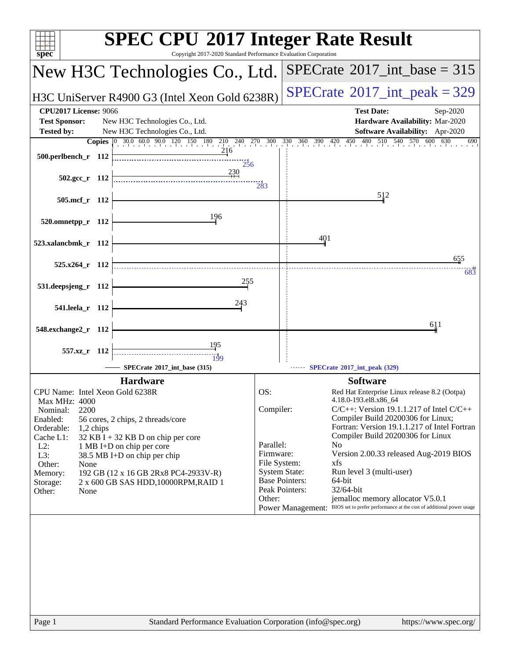| $spec^*$                                                                                                                                                                                                                                                                                                                                                                                                                                        | <b>SPEC CPU®2017 Integer Rate Result</b><br>Copyright 2017-2020 Standard Performance Evaluation Corporation                                                                                                                                                                                                                                                                                                                                                                                                                                                                                                                                                                   |
|-------------------------------------------------------------------------------------------------------------------------------------------------------------------------------------------------------------------------------------------------------------------------------------------------------------------------------------------------------------------------------------------------------------------------------------------------|-------------------------------------------------------------------------------------------------------------------------------------------------------------------------------------------------------------------------------------------------------------------------------------------------------------------------------------------------------------------------------------------------------------------------------------------------------------------------------------------------------------------------------------------------------------------------------------------------------------------------------------------------------------------------------|
| New H3C Technologies Co., Ltd.                                                                                                                                                                                                                                                                                                                                                                                                                  | $SPECrate^{\circ}2017\_int\_base = 315$                                                                                                                                                                                                                                                                                                                                                                                                                                                                                                                                                                                                                                       |
| H3C UniServer R4900 G3 (Intel Xeon Gold 6238R)                                                                                                                                                                                                                                                                                                                                                                                                  | $SPECTate$ <sup>®</sup> 2017_int_peak = 329                                                                                                                                                                                                                                                                                                                                                                                                                                                                                                                                                                                                                                   |
| <b>CPU2017 License: 9066</b><br><b>Test Sponsor:</b><br>New H3C Technologies Co., Ltd.<br><b>Tested by:</b><br>New H3C Technologies Co., Ltd.<br>$\frac{10}{210}$ $\frac{240}{1}$ $\frac{270}{1}$ $\frac{300}{1}$<br>$\begin{bmatrix} 0 & 30.0 & 60.0 & 90.0 & 120 & 150 & 180 \end{bmatrix}$<br><b>Copies</b><br>216                                                                                                                           | <b>Test Date:</b><br>Sep-2020<br>Hardware Availability: Mar-2020<br>Software Availability: Apr-2020<br>330 360 390 420 450 480 510 540 570 600<br>540 570 600<br>630<br>690                                                                                                                                                                                                                                                                                                                                                                                                                                                                                                   |
| 500.perlbench_r 112<br>256<br>230<br>502.gcc_r 112                                                                                                                                                                                                                                                                                                                                                                                              | 283                                                                                                                                                                                                                                                                                                                                                                                                                                                                                                                                                                                                                                                                           |
| 505.mcf_r 112                                                                                                                                                                                                                                                                                                                                                                                                                                   | 512                                                                                                                                                                                                                                                                                                                                                                                                                                                                                                                                                                                                                                                                           |
| 196<br>520.omnetpp_r 112<br>523.xalancbmk_r 112                                                                                                                                                                                                                                                                                                                                                                                                 | 401                                                                                                                                                                                                                                                                                                                                                                                                                                                                                                                                                                                                                                                                           |
|                                                                                                                                                                                                                                                                                                                                                                                                                                                 | 655                                                                                                                                                                                                                                                                                                                                                                                                                                                                                                                                                                                                                                                                           |
| 525.x264 r 112<br>255                                                                                                                                                                                                                                                                                                                                                                                                                           | 683                                                                                                                                                                                                                                                                                                                                                                                                                                                                                                                                                                                                                                                                           |
| 531.deepsjeng_r 112<br>243                                                                                                                                                                                                                                                                                                                                                                                                                      |                                                                                                                                                                                                                                                                                                                                                                                                                                                                                                                                                                                                                                                                               |
| 541.leela_r 112                                                                                                                                                                                                                                                                                                                                                                                                                                 |                                                                                                                                                                                                                                                                                                                                                                                                                                                                                                                                                                                                                                                                               |
| 548.exchange2_r 112                                                                                                                                                                                                                                                                                                                                                                                                                             | 611                                                                                                                                                                                                                                                                                                                                                                                                                                                                                                                                                                                                                                                                           |
| 195<br>557.xz_r 112<br><br>199                                                                                                                                                                                                                                                                                                                                                                                                                  |                                                                                                                                                                                                                                                                                                                                                                                                                                                                                                                                                                                                                                                                               |
| SPECrate®2017_int_base (315)                                                                                                                                                                                                                                                                                                                                                                                                                    | SPECrate*2017_int_peak (329)                                                                                                                                                                                                                                                                                                                                                                                                                                                                                                                                                                                                                                                  |
| <b>Hardware</b><br>CPU Name: Intel Xeon Gold 6238R<br>Max MHz: 4000<br>2200<br>Nominal:<br>Enabled:<br>56 cores, 2 chips, 2 threads/core<br>Orderable:<br>1,2 chips<br>Cache L1:<br>32 KB I + 32 KB D on chip per core<br>$L2$ :<br>1 MB I+D on chip per core<br>L3:<br>38.5 MB I+D on chip per chip<br>Other:<br>None<br>192 GB (12 x 16 GB 2Rx8 PC4-2933V-R)<br>Memory:<br>2 x 600 GB SAS HDD, 10000RPM, RAID 1<br>Storage:<br>Other:<br>None | <b>Software</b><br>OS:<br>Red Hat Enterprise Linux release 8.2 (Ootpa)<br>4.18.0-193.el8.x86 64<br>Compiler:<br>$C/C++$ : Version 19.1.1.217 of Intel $C/C++$<br>Compiler Build 20200306 for Linux;<br>Fortran: Version 19.1.1.217 of Intel Fortran<br>Compiler Build 20200306 for Linux<br>Parallel:<br>N <sub>0</sub><br>Firmware:<br>Version 2.00.33 released Aug-2019 BIOS<br>File System:<br>xfs<br><b>System State:</b><br>Run level 3 (multi-user)<br><b>Base Pointers:</b><br>64-bit<br>Peak Pointers:<br>32/64-bit<br>jemalloc memory allocator V5.0.1<br>Other:<br>BIOS set to prefer performance at the cost of additional power usage<br><b>Power Management:</b> |
| Page 1                                                                                                                                                                                                                                                                                                                                                                                                                                          | Standard Performance Evaluation Corporation (info@spec.org)<br>https://www.spec.org/                                                                                                                                                                                                                                                                                                                                                                                                                                                                                                                                                                                          |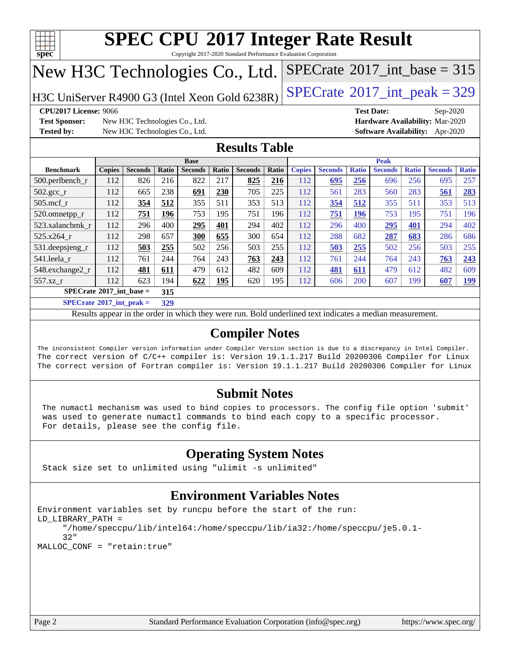

Copyright 2017-2020 Standard Performance Evaluation Corporation

## New H3C Technologies Co., Ltd.

H3C UniServer R4900 G3 (Intel Xeon Gold  $6238R$ ) [SPECrate](http://www.spec.org/auto/cpu2017/Docs/result-fields.html#SPECrate2017intpeak)<sup>®</sup>[2017\\_int\\_peak = 3](http://www.spec.org/auto/cpu2017/Docs/result-fields.html#SPECrate2017intpeak)29

 $SPECTate@2017_int\_base = 315$ 

**[Test Sponsor:](http://www.spec.org/auto/cpu2017/Docs/result-fields.html#TestSponsor)** New H3C Technologies Co., Ltd. **[Hardware Availability:](http://www.spec.org/auto/cpu2017/Docs/result-fields.html#HardwareAvailability)** Mar-2020 **[Tested by:](http://www.spec.org/auto/cpu2017/Docs/result-fields.html#Testedby)** New H3C Technologies Co., Ltd. **[Software Availability:](http://www.spec.org/auto/cpu2017/Docs/result-fields.html#SoftwareAvailability)** Apr-2020

**[CPU2017 License:](http://www.spec.org/auto/cpu2017/Docs/result-fields.html#CPU2017License)** 9066 **[Test Date:](http://www.spec.org/auto/cpu2017/Docs/result-fields.html#TestDate)** Sep-2020

### **[Results Table](http://www.spec.org/auto/cpu2017/Docs/result-fields.html#ResultsTable)**

|                                                  | <b>Base</b>   |                |       |                |            | <b>Peak</b>    |       |               |                |              |                |              |                |              |
|--------------------------------------------------|---------------|----------------|-------|----------------|------------|----------------|-------|---------------|----------------|--------------|----------------|--------------|----------------|--------------|
| <b>Benchmark</b>                                 | <b>Copies</b> | <b>Seconds</b> | Ratio | <b>Seconds</b> | Ratio      | <b>Seconds</b> | Ratio | <b>Copies</b> | <b>Seconds</b> | <b>Ratio</b> | <b>Seconds</b> | <b>Ratio</b> | <b>Seconds</b> | <b>Ratio</b> |
| $500.$ perlbench_r                               | 112           | 826            | 216   | 822            | 217        | 825            | 216   | 112           | 695            | 256          | 696            | 256          | 695            | 257          |
| $502.\text{gcc}_{r}$                             | 112           | 665            | 238   | 691            | 230        | 705            | 225   | 112           | 561            | 283          | 560            | 283          | 561            | 283          |
| $505$ .mcf r                                     | 112           | 354            | 512   | 355            | 511        | 353            | 513   | 112           | 354            | 512          | 355            | 511          | 353            | 513          |
| 520.omnetpp_r                                    | 112           | 751            | 196   | 753            | 195        | 751            | 196   | 112           | 751            | 196          | 753            | 195          | 751            | 196          |
| 523.xalancbmk r                                  | 112           | 296            | 400   | 295            | 401        | 294            | 402   | 112           | 296            | 400          | 295            | 401          | 294            | 402          |
| 525.x264 r                                       | 112           | 298            | 657   | 300            | 655        | 300            | 654   | 112           | 288            | 682          | 287            | 683          | 286            | 686          |
| 531.deepsjeng_r                                  | 112           | 503            | 255   | 502            | 256        | 503            | 255   | 112           | 503            | 255          | 502            | 256          | 503            | 255          |
| 541.leela r                                      | 112           | 761            | 244   | 764            | 243        | 763            | 243   | 112           | 761            | 244          | 764            | 243          | 763            | 243          |
| 548.exchange2_r                                  | 112           | 481            | 611   | 479            | 612        | 482            | 609   | 112           | 481            | 611          | 479            | 612          | 482            | 609          |
| 557.xz r                                         | 112           | 623            | 194   | 622            | <u>195</u> | 620            | 195   | 112           | 606            | 200          | 607            | 199          | 607            | <u>199</u>   |
| $SPECrate^{\circ}2017$ int base =<br>315         |               |                |       |                |            |                |       |               |                |              |                |              |                |              |
| $CDEDC = 1.6904E^{-1}$ and $1.1$<br>$\mathbf{A}$ |               |                |       |                |            |                |       |               |                |              |                |              |                |              |

**[SPECrate](http://www.spec.org/auto/cpu2017/Docs/result-fields.html#SPECrate2017intpeak)[2017\\_int\\_peak =](http://www.spec.org/auto/cpu2017/Docs/result-fields.html#SPECrate2017intpeak) 329**

Results appear in the [order in which they were run](http://www.spec.org/auto/cpu2017/Docs/result-fields.html#RunOrder). Bold underlined text [indicates a median measurement](http://www.spec.org/auto/cpu2017/Docs/result-fields.html#Median).

### **[Compiler Notes](http://www.spec.org/auto/cpu2017/Docs/result-fields.html#CompilerNotes)**

The inconsistent Compiler version information under Compiler Version section is due to a discrepancy in Intel Compiler. The correct version of C/C++ compiler is: Version 19.1.1.217 Build 20200306 Compiler for Linux The correct version of Fortran compiler is: Version 19.1.1.217 Build 20200306 Compiler for Linux

### **[Submit Notes](http://www.spec.org/auto/cpu2017/Docs/result-fields.html#SubmitNotes)**

 The numactl mechanism was used to bind copies to processors. The config file option 'submit' was used to generate numactl commands to bind each copy to a specific processor. For details, please see the config file.

### **[Operating System Notes](http://www.spec.org/auto/cpu2017/Docs/result-fields.html#OperatingSystemNotes)**

Stack size set to unlimited using "ulimit -s unlimited"

### **[Environment Variables Notes](http://www.spec.org/auto/cpu2017/Docs/result-fields.html#EnvironmentVariablesNotes)**

```
Environment variables set by runcpu before the start of the run:
LD_LIBRARY_PATH =
      "/home/speccpu/lib/intel64:/home/speccpu/lib/ia32:/home/speccpu/je5.0.1-
      32"
MALLOC_CONF = "retain:true"
```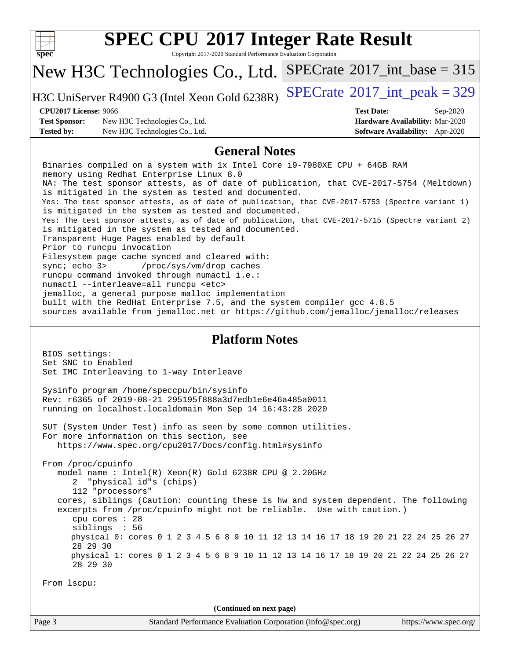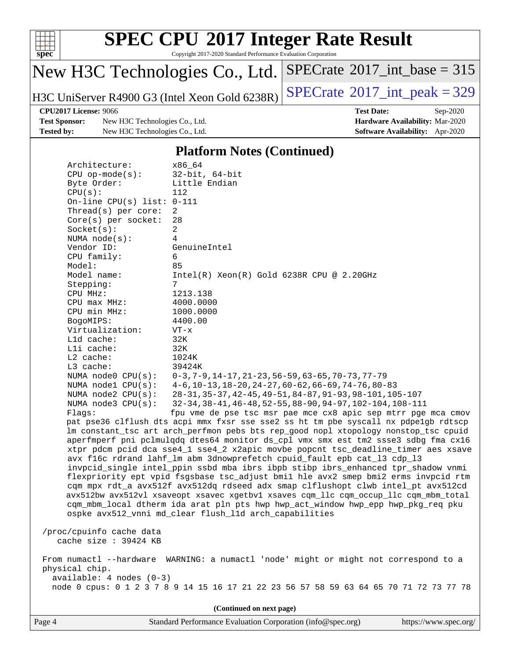

Copyright 2017-2020 Standard Performance Evaluation Corporation

## New H3C Technologies Co., Ltd.

H3C UniServer R4900 G3 (Intel Xeon Gold 6238R)  $\left|$  [SPECrate](http://www.spec.org/auto/cpu2017/Docs/result-fields.html#SPECrate2017intpeak)<sup>®</sup>[2017\\_int\\_peak = 3](http://www.spec.org/auto/cpu2017/Docs/result-fields.html#SPECrate2017intpeak)29

 $SPECrate$ <sup>®</sup>[2017\\_int\\_base =](http://www.spec.org/auto/cpu2017/Docs/result-fields.html#SPECrate2017intbase) 315

**[Test Sponsor:](http://www.spec.org/auto/cpu2017/Docs/result-fields.html#TestSponsor)** New H3C Technologies Co., Ltd. **[Hardware Availability:](http://www.spec.org/auto/cpu2017/Docs/result-fields.html#HardwareAvailability)** Mar-2020 **[Tested by:](http://www.spec.org/auto/cpu2017/Docs/result-fields.html#Testedby)** New H3C Technologies Co., Ltd. **[Software Availability:](http://www.spec.org/auto/cpu2017/Docs/result-fields.html#SoftwareAvailability)** Apr-2020

**[CPU2017 License:](http://www.spec.org/auto/cpu2017/Docs/result-fields.html#CPU2017License)** 9066 **[Test Date:](http://www.spec.org/auto/cpu2017/Docs/result-fields.html#TestDate)** Sep-2020

### **[Platform Notes \(Continued\)](http://www.spec.org/auto/cpu2017/Docs/result-fields.html#PlatformNotes)**

|                                                                                                                                                                          | x86 64<br>Architecture:                                                              |                                                                                     |  |  |  |  |  |  |
|--------------------------------------------------------------------------------------------------------------------------------------------------------------------------|--------------------------------------------------------------------------------------|-------------------------------------------------------------------------------------|--|--|--|--|--|--|
|                                                                                                                                                                          | $CPU$ op-mode( $s$ ):                                                                | $32$ -bit, $64$ -bit                                                                |  |  |  |  |  |  |
|                                                                                                                                                                          | Byte Order:<br>Little Endian                                                         |                                                                                     |  |  |  |  |  |  |
|                                                                                                                                                                          | CPU(s):                                                                              | 112                                                                                 |  |  |  |  |  |  |
|                                                                                                                                                                          | On-line CPU(s) list: $0-111$                                                         |                                                                                     |  |  |  |  |  |  |
|                                                                                                                                                                          | Thread( $s$ ) per core:                                                              | 2                                                                                   |  |  |  |  |  |  |
|                                                                                                                                                                          | Core(s) per socket:                                                                  | 28                                                                                  |  |  |  |  |  |  |
|                                                                                                                                                                          | Socket(s):                                                                           | $\overline{a}$                                                                      |  |  |  |  |  |  |
|                                                                                                                                                                          | NUMA $node(s):$                                                                      | 4                                                                                   |  |  |  |  |  |  |
|                                                                                                                                                                          | Vendor ID:                                                                           | GenuineIntel                                                                        |  |  |  |  |  |  |
|                                                                                                                                                                          | CPU family:                                                                          | 6                                                                                   |  |  |  |  |  |  |
|                                                                                                                                                                          | Model:                                                                               | 85                                                                                  |  |  |  |  |  |  |
|                                                                                                                                                                          | Model name:                                                                          | $Intel(R) Xeon(R) Gold 6238R CPU @ 2.20GHz$                                         |  |  |  |  |  |  |
|                                                                                                                                                                          | Stepping:                                                                            | 7                                                                                   |  |  |  |  |  |  |
|                                                                                                                                                                          | CPU MHz:                                                                             | 1213.138                                                                            |  |  |  |  |  |  |
|                                                                                                                                                                          | CPU max MHz:                                                                         | 4000.0000                                                                           |  |  |  |  |  |  |
|                                                                                                                                                                          | CPU min MHz:                                                                         | 1000.0000                                                                           |  |  |  |  |  |  |
|                                                                                                                                                                          | BogoMIPS:                                                                            | 4400.00                                                                             |  |  |  |  |  |  |
|                                                                                                                                                                          | Virtualization:                                                                      | $VT - x$                                                                            |  |  |  |  |  |  |
|                                                                                                                                                                          | Lld cache:                                                                           | 32K                                                                                 |  |  |  |  |  |  |
|                                                                                                                                                                          | Lli cache:                                                                           | 32K                                                                                 |  |  |  |  |  |  |
|                                                                                                                                                                          | $L2$ cache:                                                                          | 1024K                                                                               |  |  |  |  |  |  |
|                                                                                                                                                                          | L3 cache:                                                                            | 39424K                                                                              |  |  |  |  |  |  |
|                                                                                                                                                                          | NUMA node0 CPU(s):                                                                   | $0-3, 7-9, 14-17, 21-23, 56-59, 63-65, 70-73, 77-79$                                |  |  |  |  |  |  |
|                                                                                                                                                                          | NUMA nodel $CPU(s):$                                                                 | $4-6$ , 10-13, 18-20, 24-27, 60-62, 66-69, 74-76, 80-83                             |  |  |  |  |  |  |
|                                                                                                                                                                          | NUMA $node2$ $CPU(s)$ :                                                              | 28-31, 35-37, 42-45, 49-51, 84-87, 91-93, 98-101, 105-107                           |  |  |  |  |  |  |
|                                                                                                                                                                          | NUMA $node3$ $CPU(s)$ :                                                              | 32-34, 38-41, 46-48, 52-55, 88-90, 94-97, 102-104, 108-111                          |  |  |  |  |  |  |
|                                                                                                                                                                          | Flaqs:                                                                               | fpu vme de pse tsc msr pae mce cx8 apic sep mtrr pge mca cmov                       |  |  |  |  |  |  |
|                                                                                                                                                                          |                                                                                      | pat pse36 clflush dts acpi mmx fxsr sse sse2 ss ht tm pbe syscall nx pdpe1gb rdtscp |  |  |  |  |  |  |
|                                                                                                                                                                          |                                                                                      | lm constant_tsc art arch_perfmon pebs bts rep_good nopl xtopology nonstop_tsc cpuid |  |  |  |  |  |  |
|                                                                                                                                                                          |                                                                                      | aperfmperf pni pclmulqdq dtes64 monitor ds_cpl vmx smx est tm2 ssse3 sdbg fma cx16  |  |  |  |  |  |  |
| xtpr pdcm pcid dca sse4_1 sse4_2 x2apic movbe popcnt tsc_deadline_timer aes xsave                                                                                        |                                                                                      |                                                                                     |  |  |  |  |  |  |
| avx f16c rdrand lahf_lm abm 3dnowprefetch cpuid_fault epb cat_13 cdp_13                                                                                                  |                                                                                      |                                                                                     |  |  |  |  |  |  |
| invpcid_single intel_ppin ssbd mba ibrs ibpb stibp ibrs_enhanced tpr_shadow vnmi                                                                                         |                                                                                      |                                                                                     |  |  |  |  |  |  |
| flexpriority ept vpid fsgsbase tsc_adjust bmil hle avx2 smep bmi2 erms invpcid rtm                                                                                       |                                                                                      |                                                                                     |  |  |  |  |  |  |
| cqm mpx rdt_a avx512f avx512dq rdseed adx smap clflushopt clwb intel_pt avx512cd<br>avx512bw avx512vl xsaveopt xsavec xgetbvl xsaves cqm_llc cqm_occup_llc cqm_mbm_total |                                                                                      |                                                                                     |  |  |  |  |  |  |
| cqm_mbm_local dtherm ida arat pln pts hwp hwp_act_window hwp_epp hwp_pkg_req pku                                                                                         |                                                                                      |                                                                                     |  |  |  |  |  |  |
|                                                                                                                                                                          | ospke avx512_vnni md_clear flush_l1d arch_capabilities                               |                                                                                     |  |  |  |  |  |  |
|                                                                                                                                                                          |                                                                                      |                                                                                     |  |  |  |  |  |  |
| /proc/cpuinfo cache data                                                                                                                                                 |                                                                                      |                                                                                     |  |  |  |  |  |  |
| cache size : 39424 KB                                                                                                                                                    |                                                                                      |                                                                                     |  |  |  |  |  |  |
|                                                                                                                                                                          |                                                                                      |                                                                                     |  |  |  |  |  |  |
|                                                                                                                                                                          | From numactl --hardware WARNING: a numactl 'node' might or might not correspond to a |                                                                                     |  |  |  |  |  |  |
| physical chip.                                                                                                                                                           |                                                                                      |                                                                                     |  |  |  |  |  |  |
| $available: 4 nodes (0-3)$                                                                                                                                               |                                                                                      |                                                                                     |  |  |  |  |  |  |
| node 0 cpus: 0 1 2 3 7 8 9 14 15 16 17 21 22 23 56 57 58 59 63 64 65 70 71 72 73 77 78                                                                                   |                                                                                      |                                                                                     |  |  |  |  |  |  |
|                                                                                                                                                                          |                                                                                      |                                                                                     |  |  |  |  |  |  |
| (Continued on next page)                                                                                                                                                 |                                                                                      |                                                                                     |  |  |  |  |  |  |
|                                                                                                                                                                          |                                                                                      |                                                                                     |  |  |  |  |  |  |

Page 4 Standard Performance Evaluation Corporation [\(info@spec.org\)](mailto:info@spec.org) <https://www.spec.org/>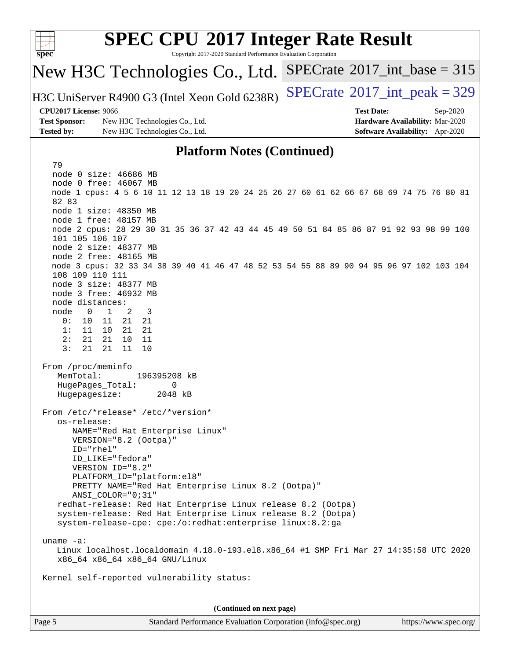

Copyright 2017-2020 Standard Performance Evaluation Corporation

### New H3C Technologies Co., Ltd.

H3C UniServer R4900 G3 (Intel Xeon Gold  $6238R$ ) [SPECrate](http://www.spec.org/auto/cpu2017/Docs/result-fields.html#SPECrate2017intpeak)<sup>®</sup>[2017\\_int\\_peak = 3](http://www.spec.org/auto/cpu2017/Docs/result-fields.html#SPECrate2017intpeak)29

 $SPECTate$ <sup>®</sup>[2017\\_int\\_base =](http://www.spec.org/auto/cpu2017/Docs/result-fields.html#SPECrate2017intbase) 315

### **[CPU2017 License:](http://www.spec.org/auto/cpu2017/Docs/result-fields.html#CPU2017License)** 9066 **[Test Date:](http://www.spec.org/auto/cpu2017/Docs/result-fields.html#TestDate)** Sep-2020

79

**[Test Sponsor:](http://www.spec.org/auto/cpu2017/Docs/result-fields.html#TestSponsor)** New H3C Technologies Co., Ltd. **[Hardware Availability:](http://www.spec.org/auto/cpu2017/Docs/result-fields.html#HardwareAvailability)** Mar-2020 **[Tested by:](http://www.spec.org/auto/cpu2017/Docs/result-fields.html#Testedby)** New H3C Technologies Co., Ltd. **[Software Availability:](http://www.spec.org/auto/cpu2017/Docs/result-fields.html#SoftwareAvailability)** Apr-2020

### **[Platform Notes \(Continued\)](http://www.spec.org/auto/cpu2017/Docs/result-fields.html#PlatformNotes)**

 node 0 size: 46686 MB node 0 free: 46067 MB node 1 cpus: 4 5 6 10 11 12 13 18 19 20 24 25 26 27 60 61 62 66 67 68 69 74 75 76 80 81 82 83 node 1 size: 48350 MB node 1 free: 48157 MB node 2 cpus: 28 29 30 31 35 36 37 42 43 44 45 49 50 51 84 85 86 87 91 92 93 98 99 100 101 105 106 107 node 2 size: 48377 MB node 2 free: 48165 MB node 3 cpus: 32 33 34 38 39 40 41 46 47 48 52 53 54 55 88 89 90 94 95 96 97 102 103 104 108 109 110 111 node 3 size: 48377 MB node 3 free: 46932 MB node distances: node 0 1 2 3 0: 10 11 21 21 1: 11 10 21 21 2: 21 21 10 11 3: 21 21 11 10 From /proc/meminfo MemTotal: 196395208 kB HugePages\_Total: 0 Hugepagesize: 2048 kB From /etc/\*release\* /etc/\*version\* os-release: NAME="Red Hat Enterprise Linux" VERSION="8.2 (Ootpa)" ID="rhel" ID\_LIKE="fedora" VERSION\_ID="8.2" PLATFORM\_ID="platform:el8" PRETTY\_NAME="Red Hat Enterprise Linux 8.2 (Ootpa)" ANSI\_COLOR="0;31" redhat-release: Red Hat Enterprise Linux release 8.2 (Ootpa) system-release: Red Hat Enterprise Linux release 8.2 (Ootpa) system-release-cpe: cpe:/o:redhat:enterprise\_linux:8.2:ga uname -a: Linux localhost.localdomain 4.18.0-193.el8.x86\_64 #1 SMP Fri Mar 27 14:35:58 UTC 2020 x86\_64 x86\_64 x86\_64 GNU/Linux Kernel self-reported vulnerability status: **(Continued on next page)**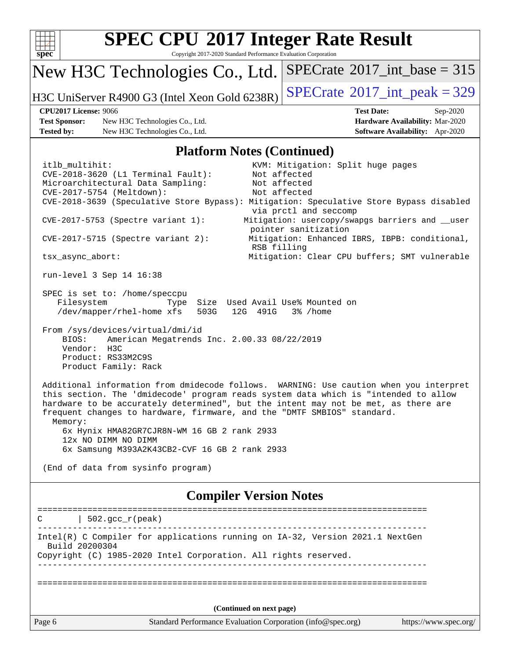

Copyright 2017-2020 Standard Performance Evaluation Corporation

## New H3C Technologies Co., Ltd.

H3C UniServer R4900 G3 (Intel Xeon Gold  $6238R$ ) [SPECrate](http://www.spec.org/auto/cpu2017/Docs/result-fields.html#SPECrate2017intpeak)<sup>®</sup>[2017\\_int\\_peak = 3](http://www.spec.org/auto/cpu2017/Docs/result-fields.html#SPECrate2017intpeak)29

 $SPECTate$ <sup>®</sup>[2017\\_int\\_base =](http://www.spec.org/auto/cpu2017/Docs/result-fields.html#SPECrate2017intbase) 315

**[Test Sponsor:](http://www.spec.org/auto/cpu2017/Docs/result-fields.html#TestSponsor)** New H3C Technologies Co., Ltd. **[Hardware Availability:](http://www.spec.org/auto/cpu2017/Docs/result-fields.html#HardwareAvailability)** Mar-2020 **[Tested by:](http://www.spec.org/auto/cpu2017/Docs/result-fields.html#Testedby)** New H3C Technologies Co., Ltd. **[Software Availability:](http://www.spec.org/auto/cpu2017/Docs/result-fields.html#SoftwareAvailability)** Apr-2020

**[CPU2017 License:](http://www.spec.org/auto/cpu2017/Docs/result-fields.html#CPU2017License)** 9066 **[Test Date:](http://www.spec.org/auto/cpu2017/Docs/result-fields.html#TestDate)** Sep-2020

### **[Platform Notes \(Continued\)](http://www.spec.org/auto/cpu2017/Docs/result-fields.html#PlatformNotes)**

Page 6 Standard Performance Evaluation Corporation [\(info@spec.org\)](mailto:info@spec.org) <https://www.spec.org/> itlb multihit:  $KVM:$  Mitigation: Split huge pages CVE-2018-3620 (L1 Terminal Fault): Not affected Microarchitectural Data Sampling: Not affected<br>CVE-2017-5754 (Meltdown): Not affected  $CVE-2017-5754$  (Meltdown): CVE-2018-3639 (Speculative Store Bypass): Mitigation: Speculative Store Bypass disabled via prctl and seccomp CVE-2017-5753 (Spectre variant 1): Mitigation: usercopy/swapgs barriers and \_\_user pointer sanitization CVE-2017-5715 (Spectre variant 2): Mitigation: Enhanced IBRS, IBPB: conditional, RSB filling tsx\_async\_abort: Mitigation: Clear CPU buffers; SMT vulnerable run-level 3 Sep 14 16:38 SPEC is set to: /home/speccpu Filesystem Type Size Used Avail Use% Mounted on /dev/mapper/rhel-home xfs 503G 12G 491G 3% /home From /sys/devices/virtual/dmi/id BIOS: American Megatrends Inc. 2.00.33 08/22/2019 Vendor: H3C Product: RS33M2C9S Product Family: Rack Additional information from dmidecode follows. WARNING: Use caution when you interpret this section. The 'dmidecode' program reads system data which is "intended to allow hardware to be accurately determined", but the intent may not be met, as there are frequent changes to hardware, firmware, and the "DMTF SMBIOS" standard. Memory: 6x Hynix HMA82GR7CJR8N-WM 16 GB 2 rank 2933 12x NO DIMM NO DIMM 6x Samsung M393A2K43CB2-CVF 16 GB 2 rank 2933 (End of data from sysinfo program) **[Compiler Version Notes](http://www.spec.org/auto/cpu2017/Docs/result-fields.html#CompilerVersionNotes)** ==============================================================================  $C \qquad | \quad 502.\text{gcc\_r}(\text{peak})$ ------------------------------------------------------------------------------ Intel(R) C Compiler for applications running on IA-32, Version 2021.1 NextGen Build 20200304 Copyright (C) 1985-2020 Intel Corporation. All rights reserved. ------------------------------------------------------------------------------ ============================================================================== **(Continued on next page)**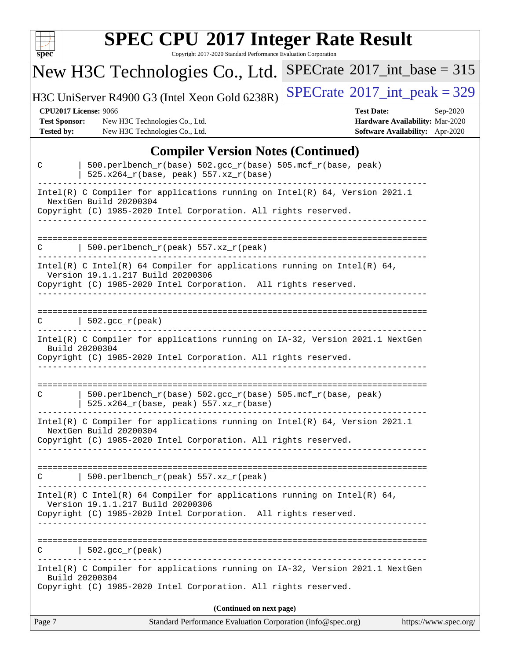| ч<br>t.<br>۱ |  |  |  |  |  |
|--------------|--|--|--|--|--|

Copyright 2017-2020 Standard Performance Evaluation Corporation

#### New H3C Technologies Co., Ltd. H3C UniServer R4900 G3 (Intel Xeon Gold 6238R)  $\left|$  [SPECrate](http://www.spec.org/auto/cpu2017/Docs/result-fields.html#SPECrate2017intpeak)®[2017\\_int\\_peak = 3](http://www.spec.org/auto/cpu2017/Docs/result-fields.html#SPECrate2017intpeak)29  $SPECTate$ <sup>®</sup>[2017\\_int\\_base =](http://www.spec.org/auto/cpu2017/Docs/result-fields.html#SPECrate2017intbase) 315 **[CPU2017 License:](http://www.spec.org/auto/cpu2017/Docs/result-fields.html#CPU2017License)** 9066 **[Test Date:](http://www.spec.org/auto/cpu2017/Docs/result-fields.html#TestDate)** Sep-2020 **[Test Sponsor:](http://www.spec.org/auto/cpu2017/Docs/result-fields.html#TestSponsor)** New H3C Technologies Co., Ltd. **[Hardware Availability:](http://www.spec.org/auto/cpu2017/Docs/result-fields.html#HardwareAvailability)** Mar-2020 **[Tested by:](http://www.spec.org/auto/cpu2017/Docs/result-fields.html#Testedby)** New H3C Technologies Co., Ltd. **[Software Availability:](http://www.spec.org/auto/cpu2017/Docs/result-fields.html#SoftwareAvailability)** Apr-2020 **[Compiler Version Notes \(Continued\)](http://www.spec.org/auto/cpu2017/Docs/result-fields.html#CompilerVersionNotes)** C | 500.perlbench\_r(base) 502.gcc\_r(base) 505.mcf\_r(base, peak) | 525.x264\_r(base, peak) 557.xz\_r(base) ------------------------------------------------------------------------------ Intel(R) C Compiler for applications running on Intel(R) 64, Version 2021.1 NextGen Build 20200304 Copyright (C) 1985-2020 Intel Corporation. All rights reserved. ------------------------------------------------------------------------------ ==============================================================================  $C$  | 500.perlbench\_r(peak) 557.xz\_r(peak) ------------------------------------------------------------------------------ Intel(R) C Intel(R) 64 Compiler for applications running on Intel(R)  $64$ , Version 19.1.1.217 Build 20200306 Copyright (C) 1985-2020 Intel Corporation. All rights reserved. ------------------------------------------------------------------------------ ==============================================================================  $C \qquad | \quad 502.\text{gcc\_r}(\text{peak})$ ------------------------------------------------------------------------------ Intel(R) C Compiler for applications running on IA-32, Version 2021.1 NextGen Build 20200304 Copyright (C) 1985-2020 Intel Corporation. All rights reserved. ------------------------------------------------------------------------------ ============================================================================== C | 500.perlbench\_r(base) 502.gcc\_r(base) 505.mcf\_r(base, peak) | 525.x264\_r(base, peak) 557.xz\_r(base) ------------------------------------------------------------------------------ Intel(R) C Compiler for applications running on Intel(R) 64, Version 2021.1 NextGen Build 20200304 Copyright (C) 1985-2020 Intel Corporation. All rights reserved. ------------------------------------------------------------------------------ ============================================================================== C | 500.perlbench\_r(peak) 557.xz\_r(peak) ------------------------------------------------------------------------------ Intel(R) C Intel(R) 64 Compiler for applications running on Intel(R) 64, Version 19.1.1.217 Build 20200306 Copyright (C) 1985-2020 Intel Corporation. All rights reserved. ------------------------------------------------------------------------------ ==============================================================================  $C \qquad | \quad 502.\text{gcc\_r}(\text{peak})$ ------------------------------------------------------------------------------ Intel(R) C Compiler for applications running on IA-32, Version 2021.1 NextGen Build 20200304 Copyright (C) 1985-2020 Intel Corporation. All rights reserved.

**(Continued on next page)**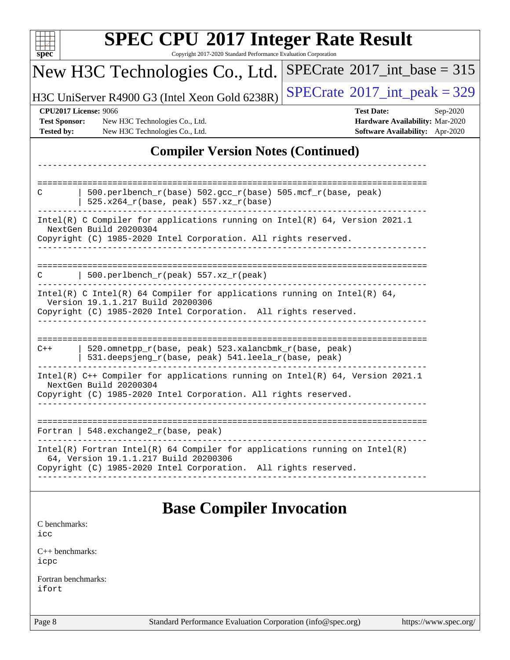| Copyright 2017-2020 Standard Performance Evaluation Corporation<br>$spec^*$                                                                                                              | <b>SPEC CPU®2017 Integer Rate Result</b>                                                            |
|------------------------------------------------------------------------------------------------------------------------------------------------------------------------------------------|-----------------------------------------------------------------------------------------------------|
| New H3C Technologies Co., Ltd.                                                                                                                                                           | $SPECTate$ <sup>®</sup> 2017_int_base = 315                                                         |
| H3C UniServer R4900 G3 (Intel Xeon Gold 6238R)                                                                                                                                           | $SPECrate^{\circ}2017\_int\_peak = 329$                                                             |
| <b>CPU2017 License: 9066</b><br><b>Test Sponsor:</b><br>New H3C Technologies Co., Ltd.<br><b>Tested by:</b><br>New H3C Technologies Co., Ltd.                                            | <b>Test Date:</b><br>Sep-2020<br>Hardware Availability: Mar-2020<br>Software Availability: Apr-2020 |
| <b>Compiler Version Notes (Continued)</b>                                                                                                                                                |                                                                                                     |
|                                                                                                                                                                                          |                                                                                                     |
| 500.perlbench_r(base) 502.gcc_r(base) 505.mcf_r(base, peak)<br>C<br>$525.x264_r(base, peak) 557.xz_r(base)$                                                                              |                                                                                                     |
| Intel(R) C Compiler for applications running on Intel(R) $64$ , Version 2021.1<br>NextGen Build 20200304<br>Copyright (C) 1985-2020 Intel Corporation. All rights reserved.              |                                                                                                     |
| 500.perlbench_r(peak) 557.xz_r(peak)<br>C                                                                                                                                                |                                                                                                     |
| Intel(R) C Intel(R) 64 Compiler for applications running on Intel(R) 64,<br>Version 19.1.1.217 Build 20200306<br>Copyright (C) 1985-2020 Intel Corporation. All rights reserved.         |                                                                                                     |
| 520.omnetpp_r(base, peak) 523.xalancbmk_r(base, peak)<br>$C++$<br>531.deepsjeng_r(base, peak) 541.leela_r(base, peak)                                                                    | ====================                                                                                |
| Intel(R) C++ Compiler for applications running on Intel(R) 64, Version 2021.1<br>NextGen Build 20200304<br>Copyright (C) 1985-2020 Intel Corporation. All rights reserved.               |                                                                                                     |
| Fortran   548. exchange $2\_r$ (base, peak)                                                                                                                                              |                                                                                                     |
| Intel(R) Fortran Intel(R) 64 Compiler for applications running on $Intel(R)$<br>64, Version 19.1.1.217 Build 20200306<br>Copyright (C) 1985-2020 Intel Corporation. All rights reserved. |                                                                                                     |
| <b>Base Compiler Invocation</b>                                                                                                                                                          |                                                                                                     |
| C benchmarks:<br>icc                                                                                                                                                                     |                                                                                                     |
| $C_{++}$ benchmarks:<br>icpc                                                                                                                                                             |                                                                                                     |
| Fortran benchmarks:<br>ifort                                                                                                                                                             |                                                                                                     |
| Page 8<br>Standard Performance Evaluation Corporation (info@spec.org)                                                                                                                    | https://www.spec.org/                                                                               |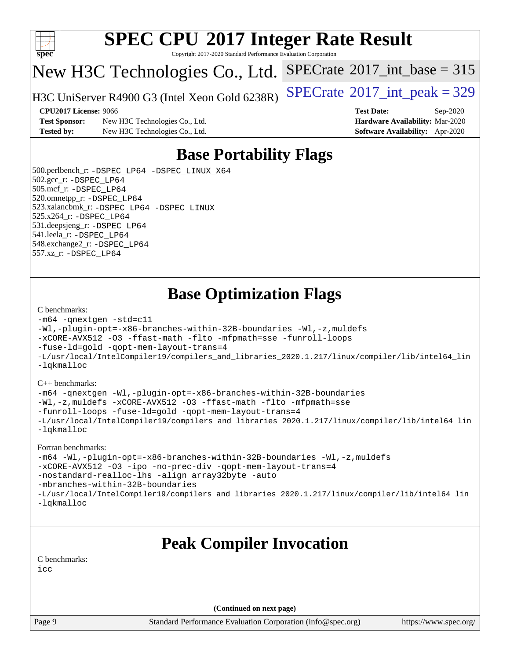

Copyright 2017-2020 Standard Performance Evaluation Corporation

## New H3C Technologies Co., Ltd.

H3C UniServer R4900 G3 (Intel Xeon Gold  $6238R$ ) [SPECrate](http://www.spec.org/auto/cpu2017/Docs/result-fields.html#SPECrate2017intpeak)<sup>®</sup>[2017\\_int\\_peak = 3](http://www.spec.org/auto/cpu2017/Docs/result-fields.html#SPECrate2017intpeak)29

 $SPECTate$ <sup>®</sup>[2017\\_int\\_base =](http://www.spec.org/auto/cpu2017/Docs/result-fields.html#SPECrate2017intbase) 315

**[Test Sponsor:](http://www.spec.org/auto/cpu2017/Docs/result-fields.html#TestSponsor)** New H3C Technologies Co., Ltd. **[Hardware Availability:](http://www.spec.org/auto/cpu2017/Docs/result-fields.html#HardwareAvailability)** Mar-2020 **[Tested by:](http://www.spec.org/auto/cpu2017/Docs/result-fields.html#Testedby)** New H3C Technologies Co., Ltd. **[Software Availability:](http://www.spec.org/auto/cpu2017/Docs/result-fields.html#SoftwareAvailability)** Apr-2020

**[CPU2017 License:](http://www.spec.org/auto/cpu2017/Docs/result-fields.html#CPU2017License)** 9066 **[Test Date:](http://www.spec.org/auto/cpu2017/Docs/result-fields.html#TestDate)** Sep-2020

## **[Base Portability Flags](http://www.spec.org/auto/cpu2017/Docs/result-fields.html#BasePortabilityFlags)**

 500.perlbench\_r: [-DSPEC\\_LP64](http://www.spec.org/cpu2017/results/res2020q4/cpu2017-20201014-24213.flags.html#b500.perlbench_r_basePORTABILITY_DSPEC_LP64) [-DSPEC\\_LINUX\\_X64](http://www.spec.org/cpu2017/results/res2020q4/cpu2017-20201014-24213.flags.html#b500.perlbench_r_baseCPORTABILITY_DSPEC_LINUX_X64) 502.gcc\_r: [-DSPEC\\_LP64](http://www.spec.org/cpu2017/results/res2020q4/cpu2017-20201014-24213.flags.html#suite_basePORTABILITY502_gcc_r_DSPEC_LP64) 505.mcf\_r: [-DSPEC\\_LP64](http://www.spec.org/cpu2017/results/res2020q4/cpu2017-20201014-24213.flags.html#suite_basePORTABILITY505_mcf_r_DSPEC_LP64) 520.omnetpp\_r: [-DSPEC\\_LP64](http://www.spec.org/cpu2017/results/res2020q4/cpu2017-20201014-24213.flags.html#suite_basePORTABILITY520_omnetpp_r_DSPEC_LP64) 523.xalancbmk\_r: [-DSPEC\\_LP64](http://www.spec.org/cpu2017/results/res2020q4/cpu2017-20201014-24213.flags.html#suite_basePORTABILITY523_xalancbmk_r_DSPEC_LP64) [-DSPEC\\_LINUX](http://www.spec.org/cpu2017/results/res2020q4/cpu2017-20201014-24213.flags.html#b523.xalancbmk_r_baseCXXPORTABILITY_DSPEC_LINUX) 525.x264\_r: [-DSPEC\\_LP64](http://www.spec.org/cpu2017/results/res2020q4/cpu2017-20201014-24213.flags.html#suite_basePORTABILITY525_x264_r_DSPEC_LP64) 531.deepsjeng\_r: [-DSPEC\\_LP64](http://www.spec.org/cpu2017/results/res2020q4/cpu2017-20201014-24213.flags.html#suite_basePORTABILITY531_deepsjeng_r_DSPEC_LP64) 541.leela\_r: [-DSPEC\\_LP64](http://www.spec.org/cpu2017/results/res2020q4/cpu2017-20201014-24213.flags.html#suite_basePORTABILITY541_leela_r_DSPEC_LP64) 548.exchange2\_r: [-DSPEC\\_LP64](http://www.spec.org/cpu2017/results/res2020q4/cpu2017-20201014-24213.flags.html#suite_basePORTABILITY548_exchange2_r_DSPEC_LP64) 557.xz\_r: [-DSPEC\\_LP64](http://www.spec.org/cpu2017/results/res2020q4/cpu2017-20201014-24213.flags.html#suite_basePORTABILITY557_xz_r_DSPEC_LP64)

### **[Base Optimization Flags](http://www.spec.org/auto/cpu2017/Docs/result-fields.html#BaseOptimizationFlags)**

#### [C benchmarks](http://www.spec.org/auto/cpu2017/Docs/result-fields.html#Cbenchmarks):

```
-m64 -qnextgen -std=c11
-Wl,-plugin-opt=-x86-branches-within-32B-boundaries -Wl,-z,muldefs
-xCORE-AVX512 -O3 -ffast-math -flto -mfpmath=sse -funroll-loops
-fuse-ld=gold -qopt-mem-layout-trans=4
-L/usr/local/IntelCompiler19/compilers_and_libraries_2020.1.217/linux/compiler/lib/intel64_lin
-lqkmalloc
```
#### [C++ benchmarks](http://www.spec.org/auto/cpu2017/Docs/result-fields.html#CXXbenchmarks):

```
-m64 -qnextgen -Wl,-plugin-opt=-x86-branches-within-32B-boundaries
-Wl,-z,muldefs -xCORE-AVX512 -O3 -ffast-math -flto -mfpmath=sse
-funroll-loops -fuse-ld=gold -qopt-mem-layout-trans=4
-L/usr/local/IntelCompiler19/compilers_and_libraries_2020.1.217/linux/compiler/lib/intel64_lin
-lqkmalloc
```
#### [Fortran benchmarks:](http://www.spec.org/auto/cpu2017/Docs/result-fields.html#Fortranbenchmarks)

```
-m64 -Wl,-plugin-opt=-x86-branches-within-32B-boundaries -Wl,-z,muldefs
-xCORE-AVX512 -O3 -ipo -no-prec-div -qopt-mem-layout-trans=4
-nostandard-realloc-lhs -align array32byte -auto
-mbranches-within-32B-boundaries
-L/usr/local/IntelCompiler19/compilers_and_libraries_2020.1.217/linux/compiler/lib/intel64_lin
-lqkmalloc
```
### **[Peak Compiler Invocation](http://www.spec.org/auto/cpu2017/Docs/result-fields.html#PeakCompilerInvocation)**

[C benchmarks](http://www.spec.org/auto/cpu2017/Docs/result-fields.html#Cbenchmarks):

[icc](http://www.spec.org/cpu2017/results/res2020q4/cpu2017-20201014-24213.flags.html#user_CCpeak_intel_icc_66fc1ee009f7361af1fbd72ca7dcefbb700085f36577c54f309893dd4ec40d12360134090235512931783d35fd58c0460139e722d5067c5574d8eaf2b3e37e92)

**(Continued on next page)**

Page 9 Standard Performance Evaluation Corporation [\(info@spec.org\)](mailto:info@spec.org) <https://www.spec.org/>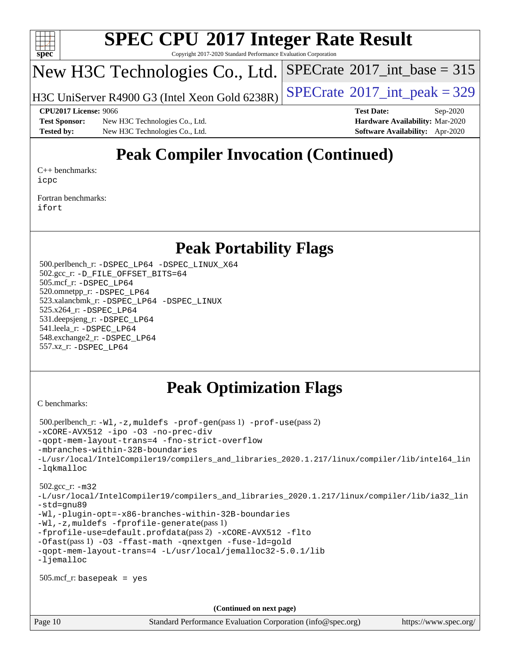

Copyright 2017-2020 Standard Performance Evaluation Corporation

## New H3C Technologies Co., Ltd.

H3C UniServer R4900 G3 (Intel Xeon Gold  $6238R$ ) [SPECrate](http://www.spec.org/auto/cpu2017/Docs/result-fields.html#SPECrate2017intpeak)<sup>®</sup>[2017\\_int\\_peak = 3](http://www.spec.org/auto/cpu2017/Docs/result-fields.html#SPECrate2017intpeak)29

 $SPECTate$ <sup>®</sup>[2017\\_int\\_base =](http://www.spec.org/auto/cpu2017/Docs/result-fields.html#SPECrate2017intbase) 315

**[Test Sponsor:](http://www.spec.org/auto/cpu2017/Docs/result-fields.html#TestSponsor)** New H3C Technologies Co., Ltd. **[Hardware Availability:](http://www.spec.org/auto/cpu2017/Docs/result-fields.html#HardwareAvailability)** Mar-2020 **[Tested by:](http://www.spec.org/auto/cpu2017/Docs/result-fields.html#Testedby)** New H3C Technologies Co., Ltd. **[Software Availability:](http://www.spec.org/auto/cpu2017/Docs/result-fields.html#SoftwareAvailability)** Apr-2020

**[CPU2017 License:](http://www.spec.org/auto/cpu2017/Docs/result-fields.html#CPU2017License)** 9066 **[Test Date:](http://www.spec.org/auto/cpu2017/Docs/result-fields.html#TestDate)** Sep-2020

## **[Peak Compiler Invocation \(Continued\)](http://www.spec.org/auto/cpu2017/Docs/result-fields.html#PeakCompilerInvocation)**

[C++ benchmarks:](http://www.spec.org/auto/cpu2017/Docs/result-fields.html#CXXbenchmarks) [icpc](http://www.spec.org/cpu2017/results/res2020q4/cpu2017-20201014-24213.flags.html#user_CXXpeak_intel_icpc_c510b6838c7f56d33e37e94d029a35b4a7bccf4766a728ee175e80a419847e808290a9b78be685c44ab727ea267ec2f070ec5dc83b407c0218cded6866a35d07)

[Fortran benchmarks](http://www.spec.org/auto/cpu2017/Docs/result-fields.html#Fortranbenchmarks): [ifort](http://www.spec.org/cpu2017/results/res2020q4/cpu2017-20201014-24213.flags.html#user_FCpeak_intel_ifort_8111460550e3ca792625aed983ce982f94888b8b503583aa7ba2b8303487b4d8a21a13e7191a45c5fd58ff318f48f9492884d4413fa793fd88dd292cad7027ca)

### **[Peak Portability Flags](http://www.spec.org/auto/cpu2017/Docs/result-fields.html#PeakPortabilityFlags)**

 500.perlbench\_r: [-DSPEC\\_LP64](http://www.spec.org/cpu2017/results/res2020q4/cpu2017-20201014-24213.flags.html#b500.perlbench_r_peakPORTABILITY_DSPEC_LP64) [-DSPEC\\_LINUX\\_X64](http://www.spec.org/cpu2017/results/res2020q4/cpu2017-20201014-24213.flags.html#b500.perlbench_r_peakCPORTABILITY_DSPEC_LINUX_X64) 502.gcc\_r: [-D\\_FILE\\_OFFSET\\_BITS=64](http://www.spec.org/cpu2017/results/res2020q4/cpu2017-20201014-24213.flags.html#user_peakPORTABILITY502_gcc_r_file_offset_bits_64_5ae949a99b284ddf4e95728d47cb0843d81b2eb0e18bdfe74bbf0f61d0b064f4bda2f10ea5eb90e1dcab0e84dbc592acfc5018bc955c18609f94ddb8d550002c) 505.mcf\_r: [-DSPEC\\_LP64](http://www.spec.org/cpu2017/results/res2020q4/cpu2017-20201014-24213.flags.html#suite_peakPORTABILITY505_mcf_r_DSPEC_LP64) 520.omnetpp\_r: [-DSPEC\\_LP64](http://www.spec.org/cpu2017/results/res2020q4/cpu2017-20201014-24213.flags.html#suite_peakPORTABILITY520_omnetpp_r_DSPEC_LP64) 523.xalancbmk\_r: [-DSPEC\\_LP64](http://www.spec.org/cpu2017/results/res2020q4/cpu2017-20201014-24213.flags.html#suite_peakPORTABILITY523_xalancbmk_r_DSPEC_LP64) [-DSPEC\\_LINUX](http://www.spec.org/cpu2017/results/res2020q4/cpu2017-20201014-24213.flags.html#b523.xalancbmk_r_peakCXXPORTABILITY_DSPEC_LINUX) 525.x264\_r: [-DSPEC\\_LP64](http://www.spec.org/cpu2017/results/res2020q4/cpu2017-20201014-24213.flags.html#suite_peakPORTABILITY525_x264_r_DSPEC_LP64) 531.deepsjeng\_r: [-DSPEC\\_LP64](http://www.spec.org/cpu2017/results/res2020q4/cpu2017-20201014-24213.flags.html#suite_peakPORTABILITY531_deepsjeng_r_DSPEC_LP64) 541.leela\_r: [-DSPEC\\_LP64](http://www.spec.org/cpu2017/results/res2020q4/cpu2017-20201014-24213.flags.html#suite_peakPORTABILITY541_leela_r_DSPEC_LP64) 548.exchange2\_r: [-DSPEC\\_LP64](http://www.spec.org/cpu2017/results/res2020q4/cpu2017-20201014-24213.flags.html#suite_peakPORTABILITY548_exchange2_r_DSPEC_LP64) 557.xz\_r: [-DSPEC\\_LP64](http://www.spec.org/cpu2017/results/res2020q4/cpu2017-20201014-24213.flags.html#suite_peakPORTABILITY557_xz_r_DSPEC_LP64)

## **[Peak Optimization Flags](http://www.spec.org/auto/cpu2017/Docs/result-fields.html#PeakOptimizationFlags)**

[C benchmarks](http://www.spec.org/auto/cpu2017/Docs/result-fields.html#Cbenchmarks):

```
 500.perlbench_r: -Wl,-z,muldefs -prof-gen(pass 1) -prof-use(pass 2)
-xCORE-AVX512 -ipo -O3 -no-prec-div
-qopt-mem-layout-trans=4 -fno-strict-overflow
-mbranches-within-32B-boundaries
-L/usr/local/IntelCompiler19/compilers_and_libraries_2020.1.217/linux/compiler/lib/intel64_lin
-lqkmalloc
 502.gcc_r: -m32
-L/usr/local/IntelCompiler19/compilers_and_libraries_2020.1.217/linux/compiler/lib/ia32_lin
-std=gnu89
-Wl,-plugin-opt=-x86-branches-within-32B-boundaries
-Wl,-z,muldefs -fprofile-generate(pass 1)
-fprofile-use=default.profdata(pass 2) -xCORE-AVX512 -flto
-Ofast(pass 1) -O3 -ffast-math -qnextgen -fuse-ld=gold
-qopt-mem-layout-trans=4 -L/usr/local/jemalloc32-5.0.1/lib
-ljemalloc
 505.mcf_r: basepeak = yes
                                      (Continued on next page)
```